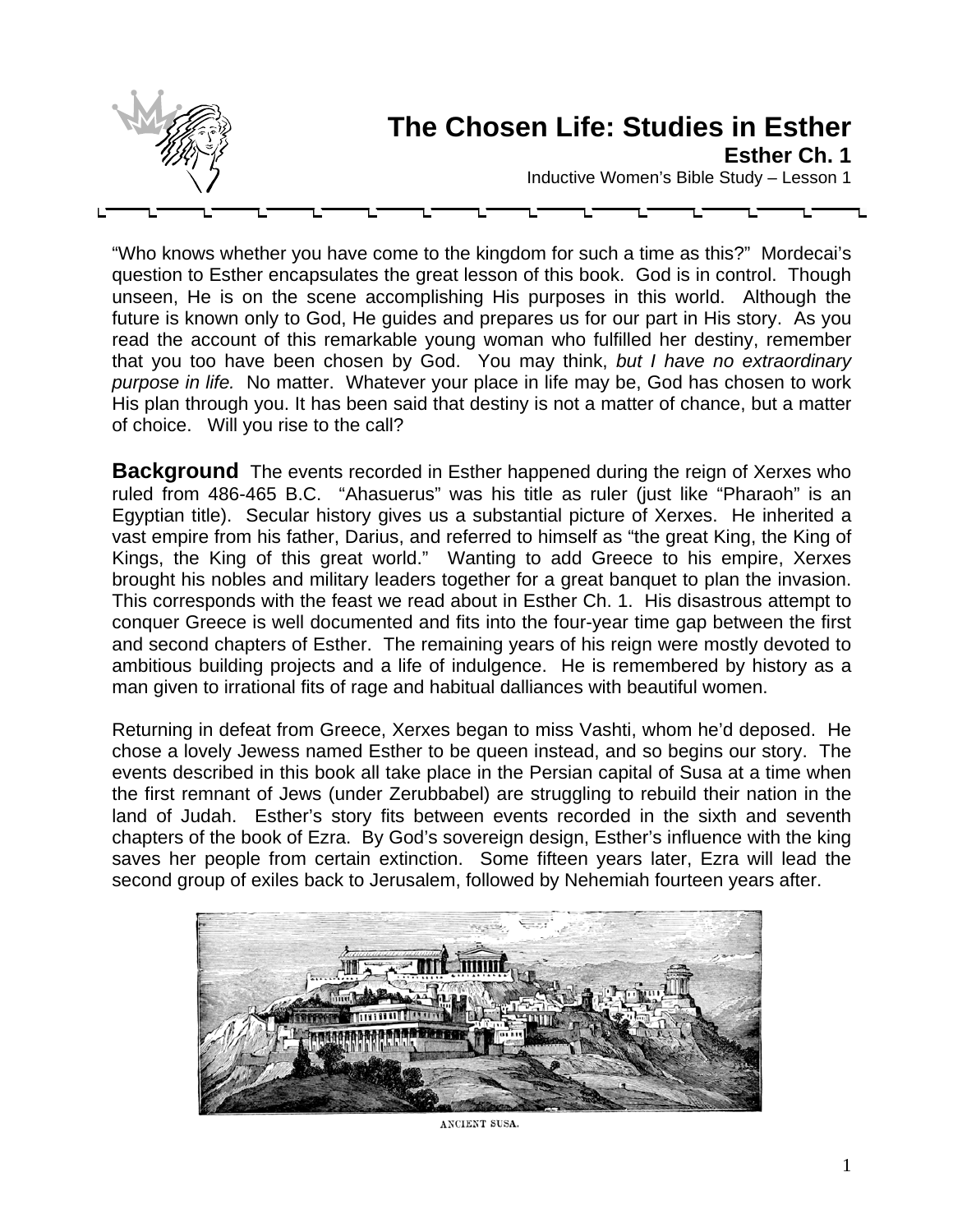

"Who knows whether you have come to the kingdom for such a time as this?" Mordecai's question to Esther encapsulates the great lesson of this book. God is in control. Though unseen, He is on the scene accomplishing His purposes in this world. Although the future is known only to God, He guides and prepares us for our part in His story. As you read the account of this remarkable young woman who fulfilled her destiny, remember that you too have been chosen by God. You may think, *but I have no extraordinary purpose in life.* No matter. Whatever your place in life may be, God has chosen to work His plan through you. It has been said that destiny is not a matter of chance, but a matter of choice. Will you rise to the call?

**Background** The events recorded in Esther happened during the reign of Xerxes who ruled from 486-465 B.C. "Ahasuerus" was his title as ruler (just like "Pharaoh" is an Egyptian title). Secular history gives us a substantial picture of Xerxes. He inherited a vast empire from his father, Darius, and referred to himself as "the great King, the King of Kings, the King of this great world." Wanting to add Greece to his empire, Xerxes brought his nobles and military leaders together for a great banquet to plan the invasion. This corresponds with the feast we read about in Esther Ch. 1. His disastrous attempt to conquer Greece is well documented and fits into the four-year time gap between the first and second chapters of Esther. The remaining years of his reign were mostly devoted to ambitious building projects and a life of indulgence. He is remembered by history as a man given to irrational fits of rage and habitual dalliances with beautiful women.

Returning in defeat from Greece, Xerxes began to miss Vashti, whom he'd deposed. He chose a lovely Jewess named Esther to be queen instead, and so begins our story. The events described in this book all take place in the Persian capital of Susa at a time when the first remnant of Jews (under Zerubbabel) are struggling to rebuild their nation in the land of Judah. Esther's story fits between events recorded in the sixth and seventh chapters of the book of Ezra. By God's sovereign design, Esther's influence with the king saves her people from certain extinction. Some fifteen years later, Ezra will lead the second group of exiles back to Jerusalem, followed by Nehemiah fourteen years after.



ANCIENT SUSA.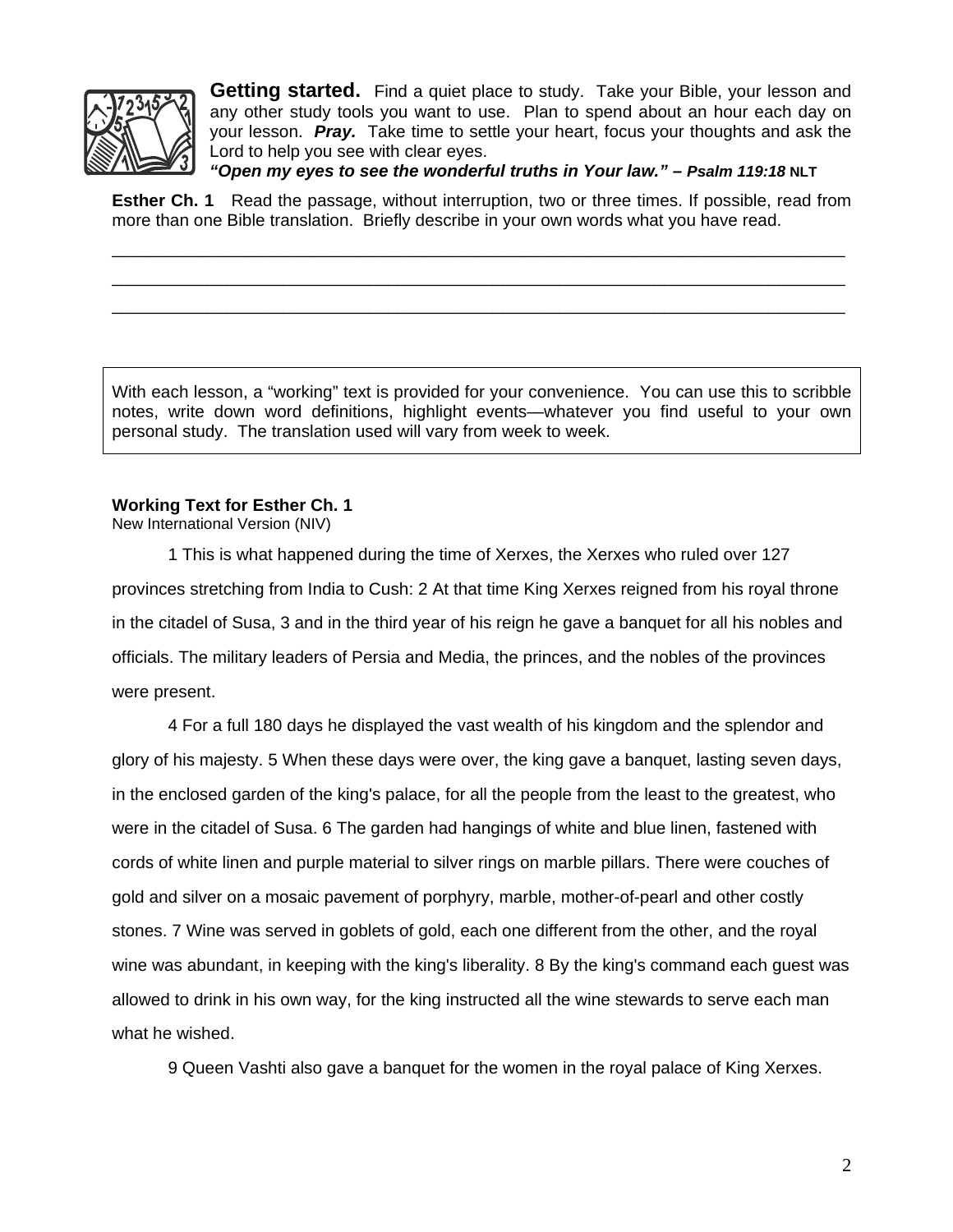

**Getting started.** Find a quiet place to study. Take your Bible, your lesson and any other study tools you want to use. Plan to spend about an hour each day on your lesson. *Pray.* Take time to settle your heart, focus your thoughts and ask the Lord to help you see with clear eyes.

*"Open my eyes to see the wonderful truths in Your law." – Psalm 119:18* **NLT**

**Esther Ch. 1** Read the passage, without interruption, two or three times. If possible, read from more than one Bible translation. Briefly describe in your own words what you have read.

\_\_\_\_\_\_\_\_\_\_\_\_\_\_\_\_\_\_\_\_\_\_\_\_\_\_\_\_\_\_\_\_\_\_\_\_\_\_\_\_\_\_\_\_\_\_\_\_\_\_\_\_\_\_\_\_\_\_\_\_\_\_\_\_\_\_\_\_\_\_\_\_\_\_\_\_\_ \_\_\_\_\_\_\_\_\_\_\_\_\_\_\_\_\_\_\_\_\_\_\_\_\_\_\_\_\_\_\_\_\_\_\_\_\_\_\_\_\_\_\_\_\_\_\_\_\_\_\_\_\_\_\_\_\_\_\_\_\_\_\_\_\_\_\_\_\_\_\_\_\_\_\_\_\_ \_\_\_\_\_\_\_\_\_\_\_\_\_\_\_\_\_\_\_\_\_\_\_\_\_\_\_\_\_\_\_\_\_\_\_\_\_\_\_\_\_\_\_\_\_\_\_\_\_\_\_\_\_\_\_\_\_\_\_\_\_\_\_\_\_\_\_\_\_\_\_\_\_\_\_\_\_

With each lesson, a "working" text is provided for your convenience. You can use this to scribble notes, write down word definitions, highlight events—whatever you find useful to your own personal study. The translation used will vary from week to week.

#### **Working Text for Esther Ch. 1**

New International Version (NIV)

1 This is what happened during the time of Xerxes, the Xerxes who ruled over 127 provinces stretching from India to Cush: 2 At that time King Xerxes reigned from his royal throne in the citadel of Susa, 3 and in the third year of his reign he gave a banquet for all his nobles and officials. The military leaders of Persia and Media, the princes, and the nobles of the provinces were present.

4 For a full 180 days he displayed the vast wealth of his kingdom and the splendor and glory of his majesty. 5 When these days were over, the king gave a banquet, lasting seven days, in the enclosed garden of the king's palace, for all the people from the least to the greatest, who were in the citadel of Susa. 6 The garden had hangings of white and blue linen, fastened with cords of white linen and purple material to silver rings on marble pillars. There were couches of gold and silver on a mosaic pavement of porphyry, marble, mother-of-pearl and other costly stones. 7 Wine was served in goblets of gold, each one different from the other, and the royal wine was abundant, in keeping with the king's liberality. 8 By the king's command each guest was allowed to drink in his own way, for the king instructed all the wine stewards to serve each man what he wished.

9 Queen Vashti also gave a banquet for the women in the royal palace of King Xerxes.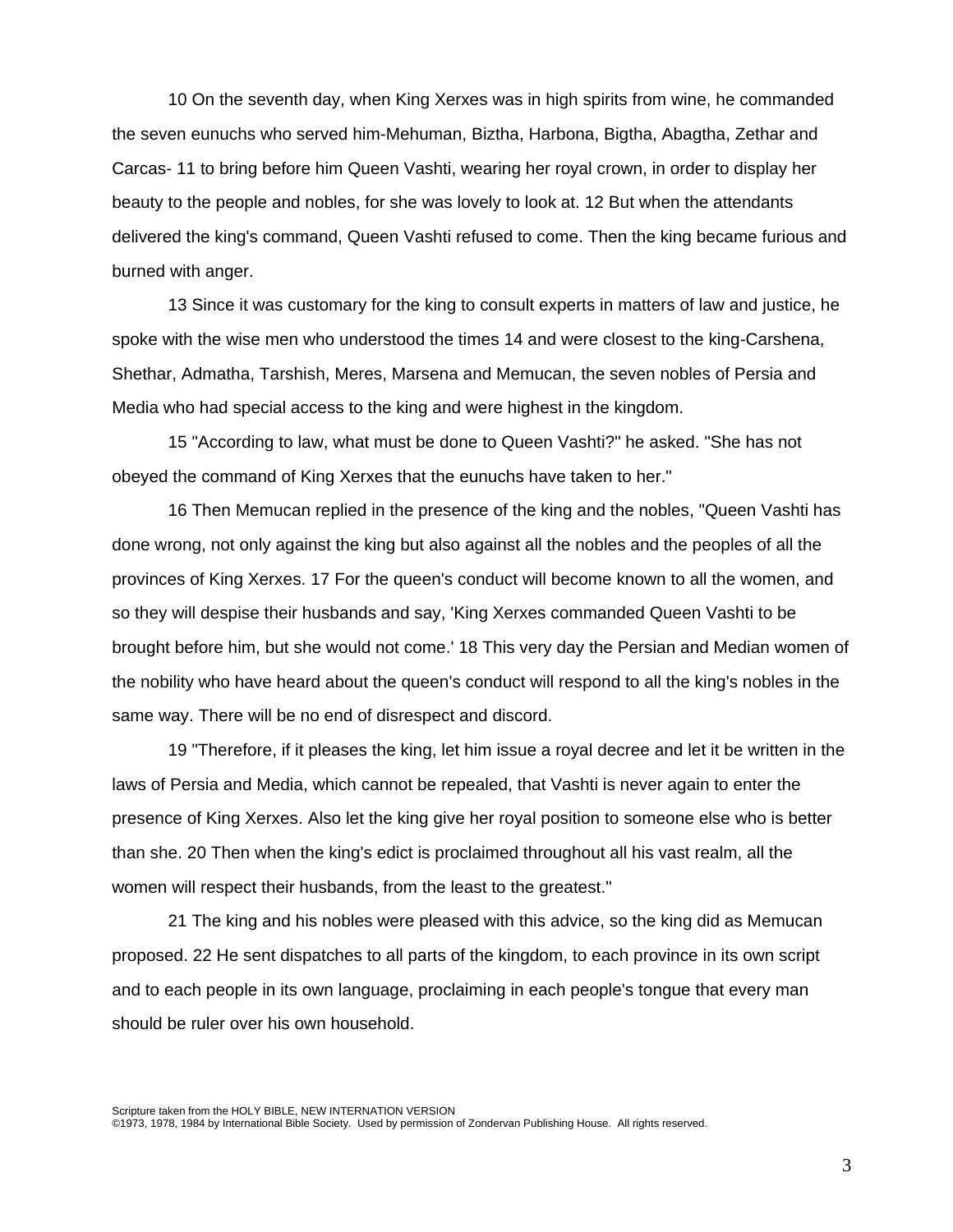10 On the seventh day, when King Xerxes was in high spirits from wine, he commanded the seven eunuchs who served him-Mehuman, Biztha, Harbona, Bigtha, Abagtha, Zethar and Carcas- 11 to bring before him Queen Vashti, wearing her royal crown, in order to display her beauty to the people and nobles, for she was lovely to look at. 12 But when the attendants delivered the king's command, Queen Vashti refused to come. Then the king became furious and burned with anger.

13 Since it was customary for the king to consult experts in matters of law and justice, he spoke with the wise men who understood the times 14 and were closest to the king-Carshena, Shethar, Admatha, Tarshish, Meres, Marsena and Memucan, the seven nobles of Persia and Media who had special access to the king and were highest in the kingdom.

15 "According to law, what must be done to Queen Vashti?" he asked. "She has not obeyed the command of King Xerxes that the eunuchs have taken to her."

16 Then Memucan replied in the presence of the king and the nobles, "Queen Vashti has done wrong, not only against the king but also against all the nobles and the peoples of all the provinces of King Xerxes. 17 For the queen's conduct will become known to all the women, and so they will despise their husbands and say, 'King Xerxes commanded Queen Vashti to be brought before him, but she would not come.' 18 This very day the Persian and Median women of the nobility who have heard about the queen's conduct will respond to all the king's nobles in the same way. There will be no end of disrespect and discord.

19 "Therefore, if it pleases the king, let him issue a royal decree and let it be written in the laws of Persia and Media, which cannot be repealed, that Vashti is never again to enter the presence of King Xerxes. Also let the king give her royal position to someone else who is better than she. 20 Then when the king's edict is proclaimed throughout all his vast realm, all the women will respect their husbands, from the least to the greatest."

21 The king and his nobles were pleased with this advice, so the king did as Memucan proposed. 22 He sent dispatches to all parts of the kingdom, to each province in its own script and to each people in its own language, proclaiming in each people's tongue that every man should be ruler over his own household.

Scripture taken from the HOLY BIBLE, NEW INTERNATION VERSION ©1973, 1978, 1984 by International Bible Society. Used by permission of Zondervan Publishing House. All rights reserved.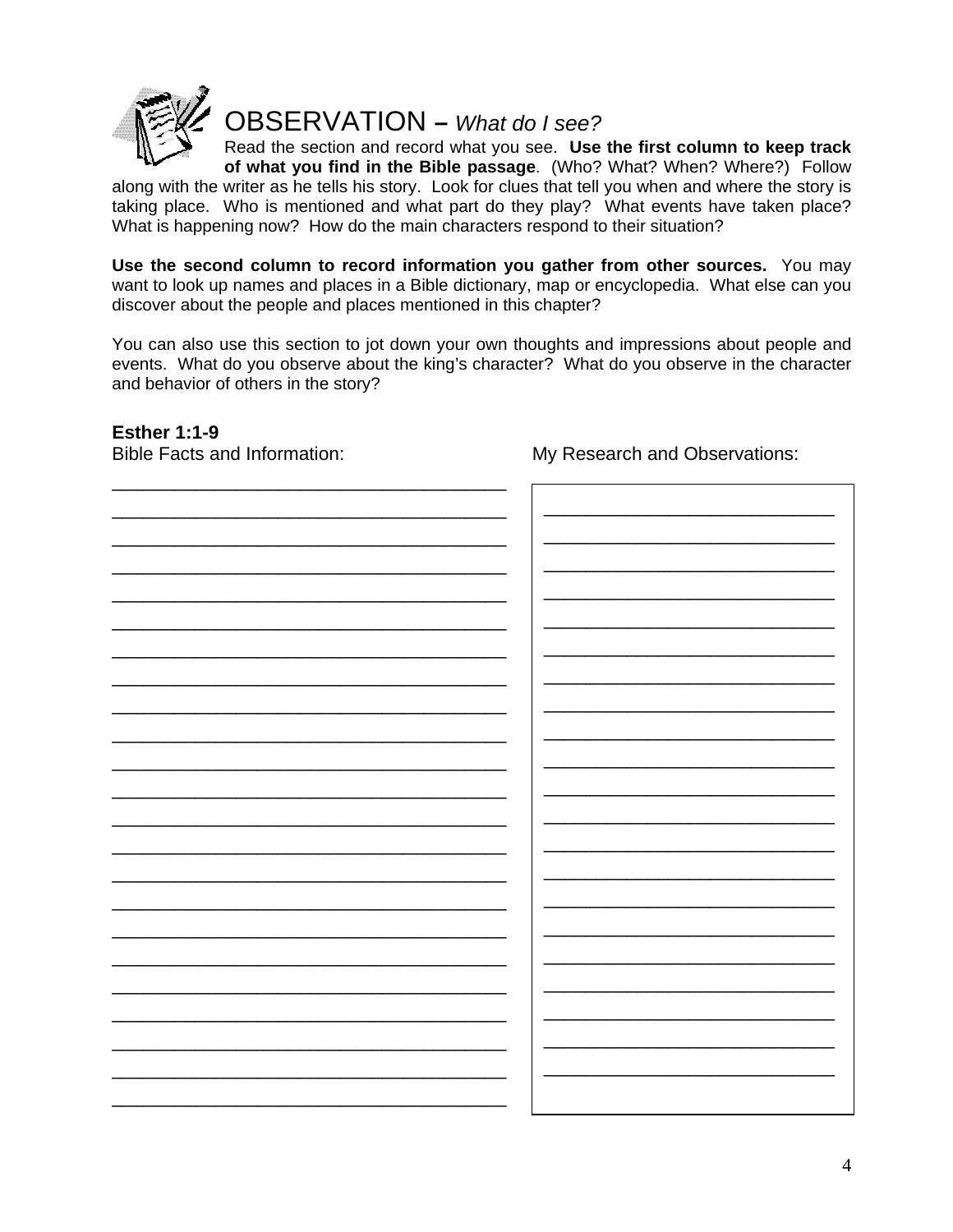

OBSERVATION **–** *What do I see?*

Read the section and record what you see. **Use the first column to keep track**

**of what you find in the Bible passage**. (Who? What? When? Where?) Follow along with the writer as he tells his story. Look for clues that tell you when and where the story is taking place. Who is mentioned and what part do they play? What events have taken place? What is happening now? How do the main characters respond to their situation?

**Use the second column to record information you gather from other sources.** You may want to look up names and places in a Bible dictionary, map or encyclopedia. What else can you discover about the people and places mentioned in this chapter?

You can also use this section to jot down your own thoughts and impressions about people and events. What do you observe about the king's character? What do you observe in the character and behavior of others in the story?

#### **Esther 1:1-9**

Bible Facts and Information: My Research and Observations: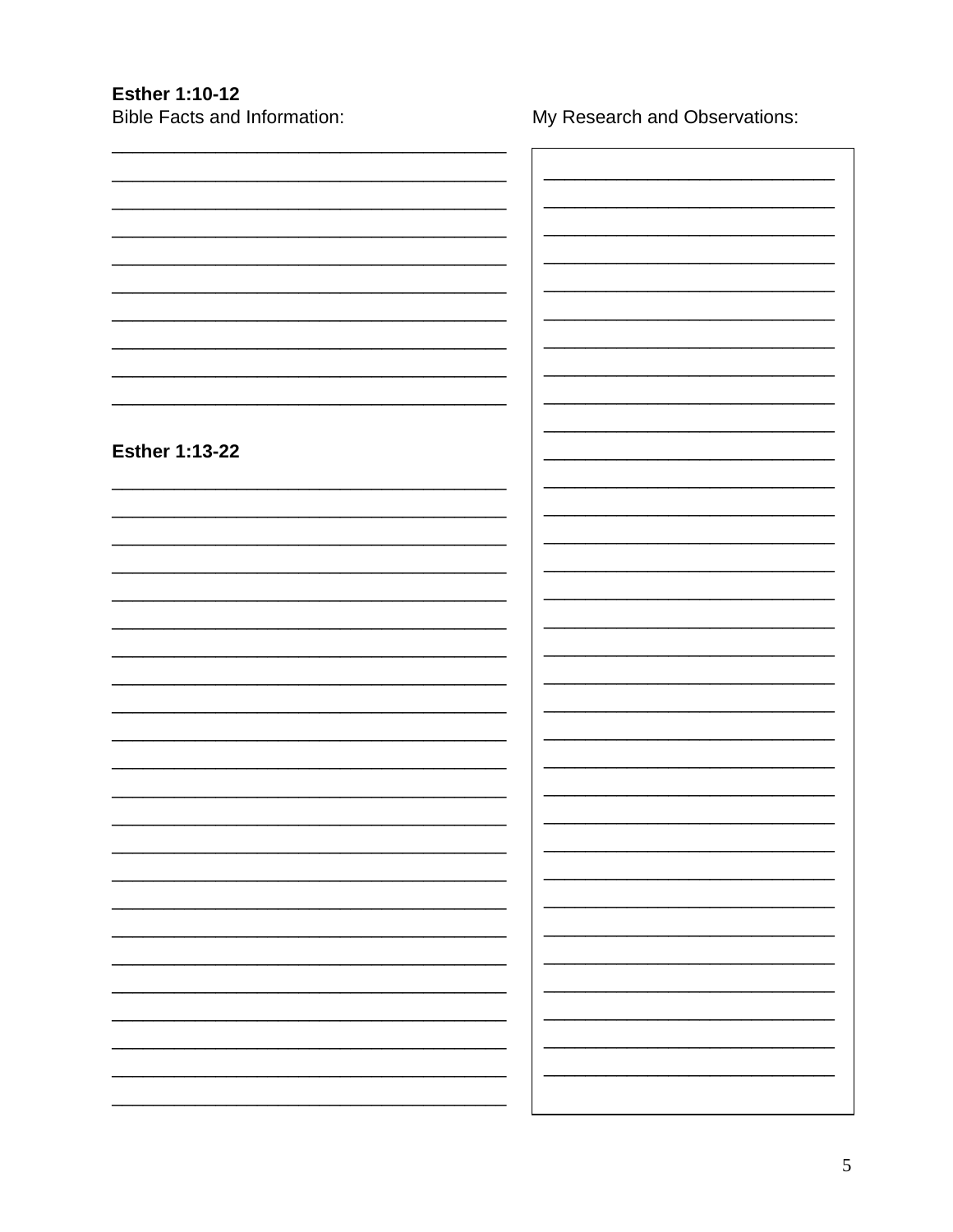# **Esther 1:10-12**

**Bible Facts and Information:** 

My Research and Observations:

| <b>Esther 1:13-22</b> |  |
|-----------------------|--|
|                       |  |
|                       |  |
|                       |  |
|                       |  |
|                       |  |
|                       |  |
|                       |  |
|                       |  |
|                       |  |
|                       |  |
|                       |  |
|                       |  |
|                       |  |
|                       |  |
|                       |  |
|                       |  |
|                       |  |
|                       |  |
|                       |  |
|                       |  |
|                       |  |
|                       |  |
|                       |  |
|                       |  |
|                       |  |
|                       |  |
|                       |  |
|                       |  |
|                       |  |
|                       |  |
|                       |  |
|                       |  |
|                       |  |
|                       |  |
|                       |  |
|                       |  |
|                       |  |
|                       |  |
|                       |  |
|                       |  |
|                       |  |
|                       |  |
|                       |  |
|                       |  |
|                       |  |
|                       |  |
|                       |  |
|                       |  |
|                       |  |
|                       |  |
|                       |  |
|                       |  |
|                       |  |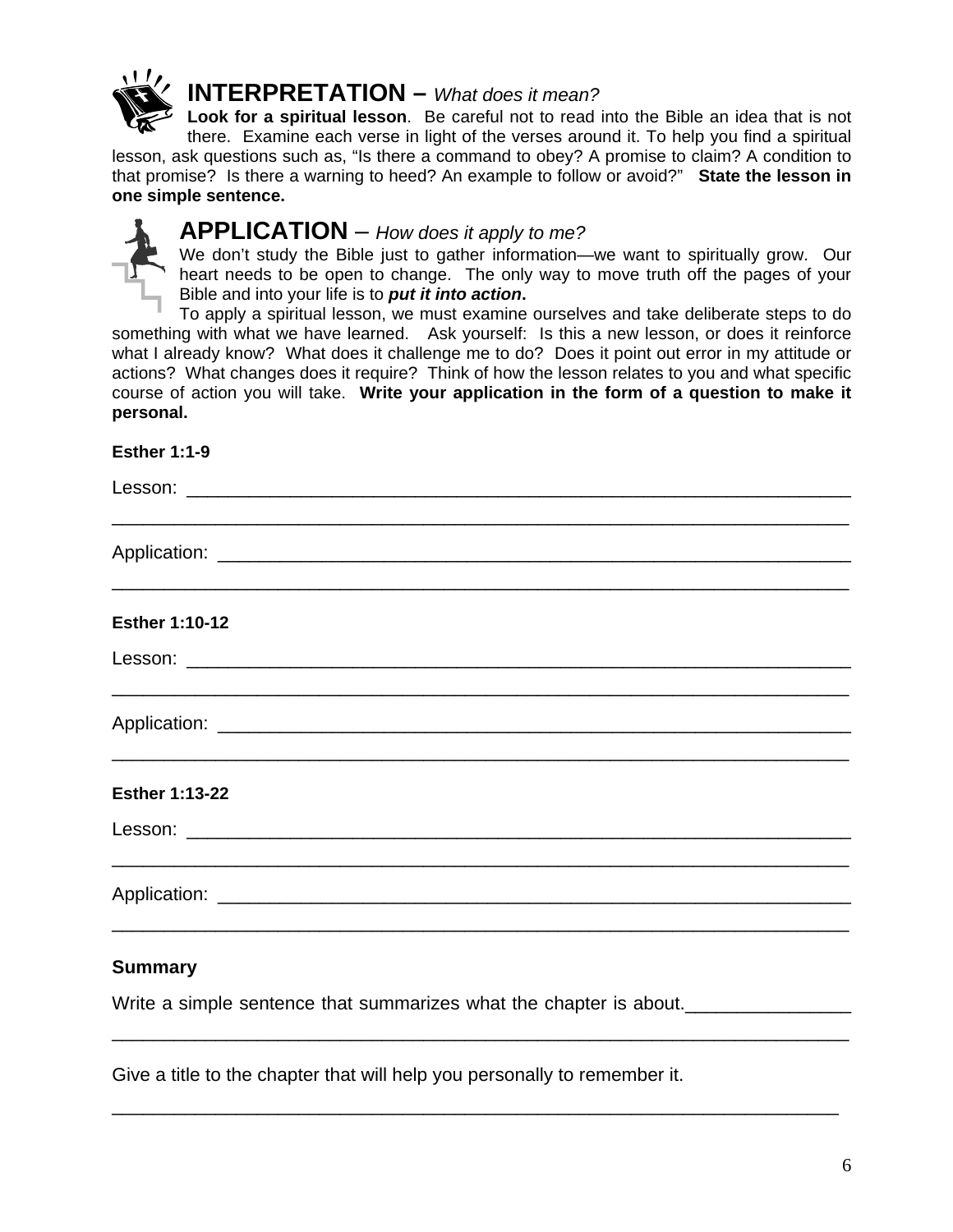

## **INTERPRETATION –** *What does it mean?*

**Look for a spiritual lesson**. Be careful not to read into the Bible an idea that is not there. Examine each verse in light of the verses around it. To help you find a spiritual lesson, ask questions such as, "Is there a command to obey? A promise to claim? A condition to that promise? Is there a warning to heed? An example to follow or avoid?" **State the lesson in one simple sentence.**



#### **APPLICATION** – *How does it apply to me?*

We don't study the Bible just to gather information—we want to spiritually grow. Our heart needs to be open to change. The only way to move truth off the pages of your Bible and into your life is to *put it into action***.** 

To apply a spiritual lesson, we must examine ourselves and take deliberate steps to do something with what we have learned. Ask yourself:Is this a new lesson, or does it reinforce what I already know? What does it challenge me to do? Does it point out error in my attitude or actions? What changes does it require?Think of how the lesson relates to you and what specific course of action you will take. **Write your application in the form of a question to make it personal.** 

#### **Esther 1:1-9**

| <b>Esther 1:10-12</b>                                                                                                 |
|-----------------------------------------------------------------------------------------------------------------------|
|                                                                                                                       |
| <u> 1989 - Johann Stoff, deutscher Stoff, der Stoff, der Stoff, der Stoff, der Stoff, der Stoff, der Stoff, der S</u> |
| <b>Esther 1:13-22</b>                                                                                                 |
|                                                                                                                       |
|                                                                                                                       |
| <b>Summary</b>                                                                                                        |
| Write a simple sentence that summarizes what the chapter is about.                                                    |

\_\_\_\_\_\_\_\_\_\_\_\_\_\_\_\_\_\_\_\_\_\_\_\_\_\_\_\_\_\_\_\_\_\_\_\_\_\_\_\_\_\_\_\_\_\_\_\_\_\_\_\_\_\_\_\_\_\_\_\_\_\_\_\_\_\_\_\_\_\_

Give a title to the chapter that will help you personally to remember it.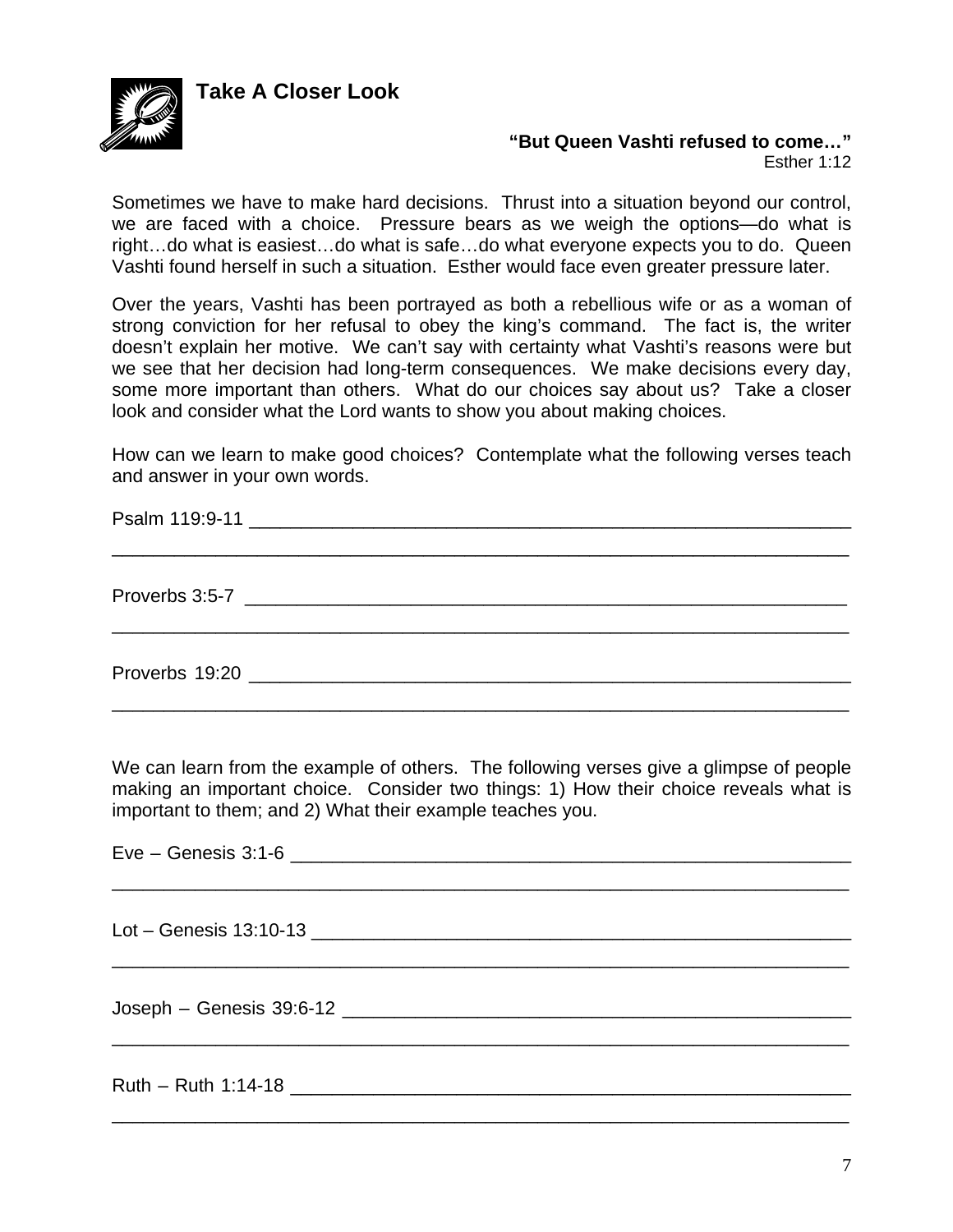**Take A Closer Look** 



## **"But Queen Vashti refused to come…"**

Esther 1:12

Sometimes we have to make hard decisions. Thrust into a situation beyond our control, we are faced with a choice. Pressure bears as we weigh the options—do what is right…do what is easiest…do what is safe…do what everyone expects you to do. Queen Vashti found herself in such a situation. Esther would face even greater pressure later.

Over the years, Vashti has been portrayed as both a rebellious wife or as a woman of strong conviction for her refusal to obey the king's command. The fact is, the writer doesn't explain her motive. We can't say with certainty what Vashti's reasons were but we see that her decision had long-term consequences. We make decisions every day, some more important than others. What do our choices say about us? Take a closer look and consider what the Lord wants to show you about making choices.

How can we learn to make good choices? Contemplate what the following verses teach and answer in your own words.

| Proverbs 19:20 <b>Proverse and Contract Contract Contract Contract Contract Contract Contract Contract Contract Contract Contract Contract Contract Contract Contract Contract Contract Contract Contract Contract Contract Cont</b> |  |  |
|--------------------------------------------------------------------------------------------------------------------------------------------------------------------------------------------------------------------------------------|--|--|

We can learn from the example of others. The following verses give a glimpse of people making an important choice. Consider two things: 1) How their choice reveals what is important to them; and 2) What their example teaches you.

\_\_\_\_\_\_\_\_\_\_\_\_\_\_\_\_\_\_\_\_\_\_\_\_\_\_\_\_\_\_\_\_\_\_\_\_\_\_\_\_\_\_\_\_\_\_\_\_\_\_\_\_\_\_\_\_\_\_\_\_\_\_\_\_\_\_\_\_\_\_\_

\_\_\_\_\_\_\_\_\_\_\_\_\_\_\_\_\_\_\_\_\_\_\_\_\_\_\_\_\_\_\_\_\_\_\_\_\_\_\_\_\_\_\_\_\_\_\_\_\_\_\_\_\_\_\_\_\_\_\_\_\_\_\_\_\_\_\_\_\_\_\_

\_\_\_\_\_\_\_\_\_\_\_\_\_\_\_\_\_\_\_\_\_\_\_\_\_\_\_\_\_\_\_\_\_\_\_\_\_\_\_\_\_\_\_\_\_\_\_\_\_\_\_\_\_\_\_\_\_\_\_\_\_\_\_\_\_\_\_\_\_\_\_

\_\_\_\_\_\_\_\_\_\_\_\_\_\_\_\_\_\_\_\_\_\_\_\_\_\_\_\_\_\_\_\_\_\_\_\_\_\_\_\_\_\_\_\_\_\_\_\_\_\_\_\_\_\_\_\_\_\_\_\_\_\_\_\_\_\_\_\_\_\_\_

Eve – Genesis 3:1-6 \_\_\_\_\_\_\_\_\_\_\_\_\_\_\_\_\_\_\_\_\_\_\_\_\_\_\_\_\_\_\_\_\_\_\_\_\_\_\_\_\_\_\_\_\_\_\_\_\_\_\_\_\_\_

Lot – Genesis 13:10-13

Joseph – Genesis 39:6-12 \_\_\_\_\_\_\_\_\_\_\_\_\_\_\_\_\_\_\_\_\_\_\_\_\_\_\_\_\_\_\_\_\_\_\_\_\_\_\_\_\_\_\_\_\_\_\_\_\_

Ruth – Ruth 1:14-18 \_\_\_\_\_\_\_\_\_\_\_\_\_\_\_\_\_\_\_\_\_\_\_\_\_\_\_\_\_\_\_\_\_\_\_\_\_\_\_\_\_\_\_\_\_\_\_\_\_\_\_\_\_\_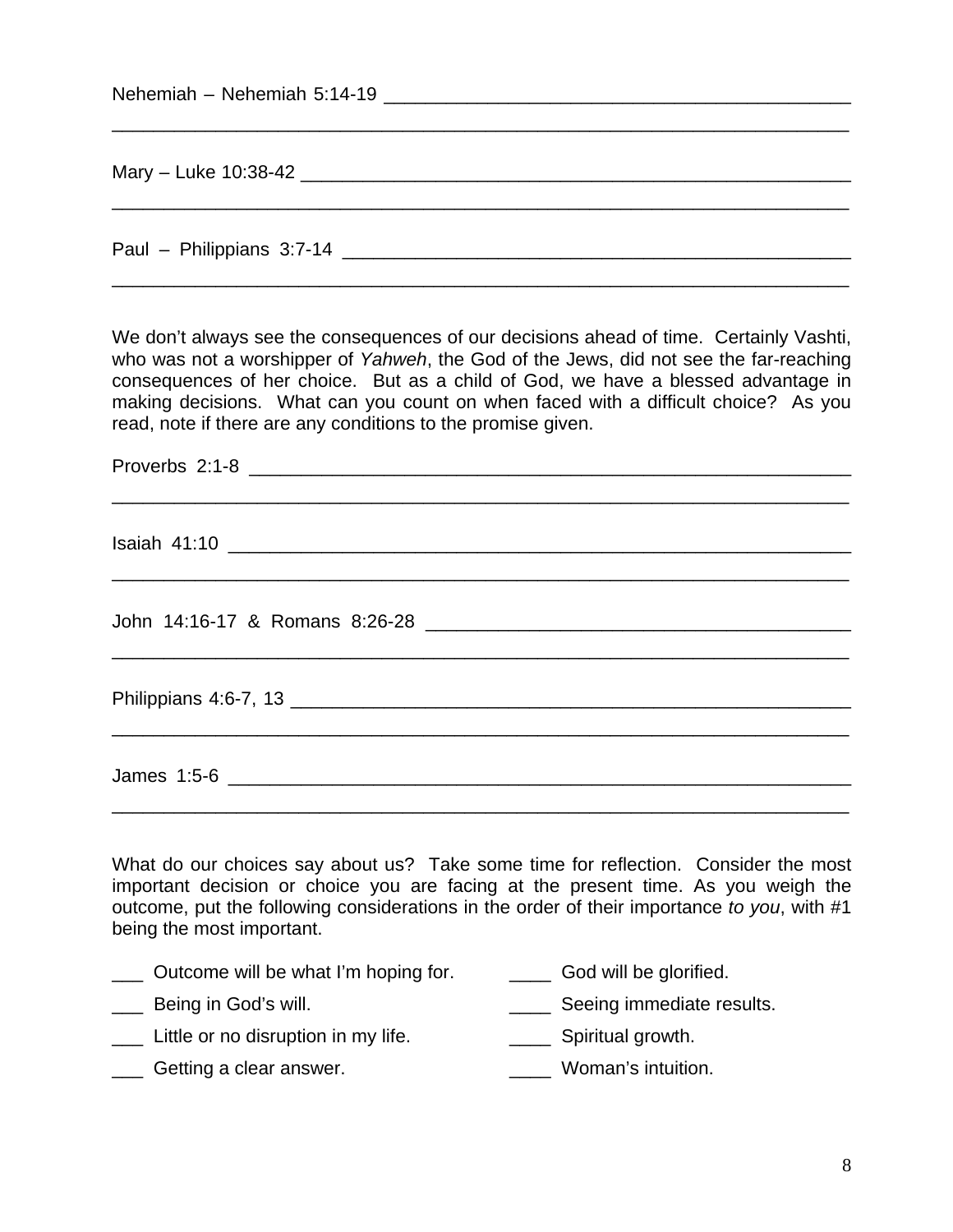| Nehemiah – Nehemiah 5:14-19                                                                                                                                                                                                                                                                                                                                                                                                |
|----------------------------------------------------------------------------------------------------------------------------------------------------------------------------------------------------------------------------------------------------------------------------------------------------------------------------------------------------------------------------------------------------------------------------|
|                                                                                                                                                                                                                                                                                                                                                                                                                            |
| Paul – Philippians 3:7-14 Learn Contract Contract Contract Contract Contract Contract Contract Contract Contract Contract Contract Contract Contract Contract Contract Contract Contract Contract Contract Contract Contract C                                                                                                                                                                                             |
| We don't always see the consequences of our decisions ahead of time. Certainly Vashti,<br>who was not a worshipper of Yahweh, the God of the Jews, did not see the far-reaching<br>consequences of her choice. But as a child of God, we have a blessed advantage in<br>making decisions. What can you count on when faced with a difficult choice? As you<br>read, note if there are any conditions to the promise given. |

What do our choices say about us? Take some time for reflection. Consider the most important decision or choice you are facing at the present time. As you weigh the outcome, put the following considerations in the order of their importance *to you*, with #1 being the most important.

- \_\_\_ Outcome will be what I'm hoping for. \_\_\_\_ God will be glorified.
- Lackening in God's will. The same seeing immediate results.
	- Little or no disruption in my life. \_\_\_\_\_\_\_\_\_\_\_\_\_\_\_\_\_\_\_\_\_ Spiritual growth.
- Lacker Getting a clear answer. The same control of the Moman's intuition.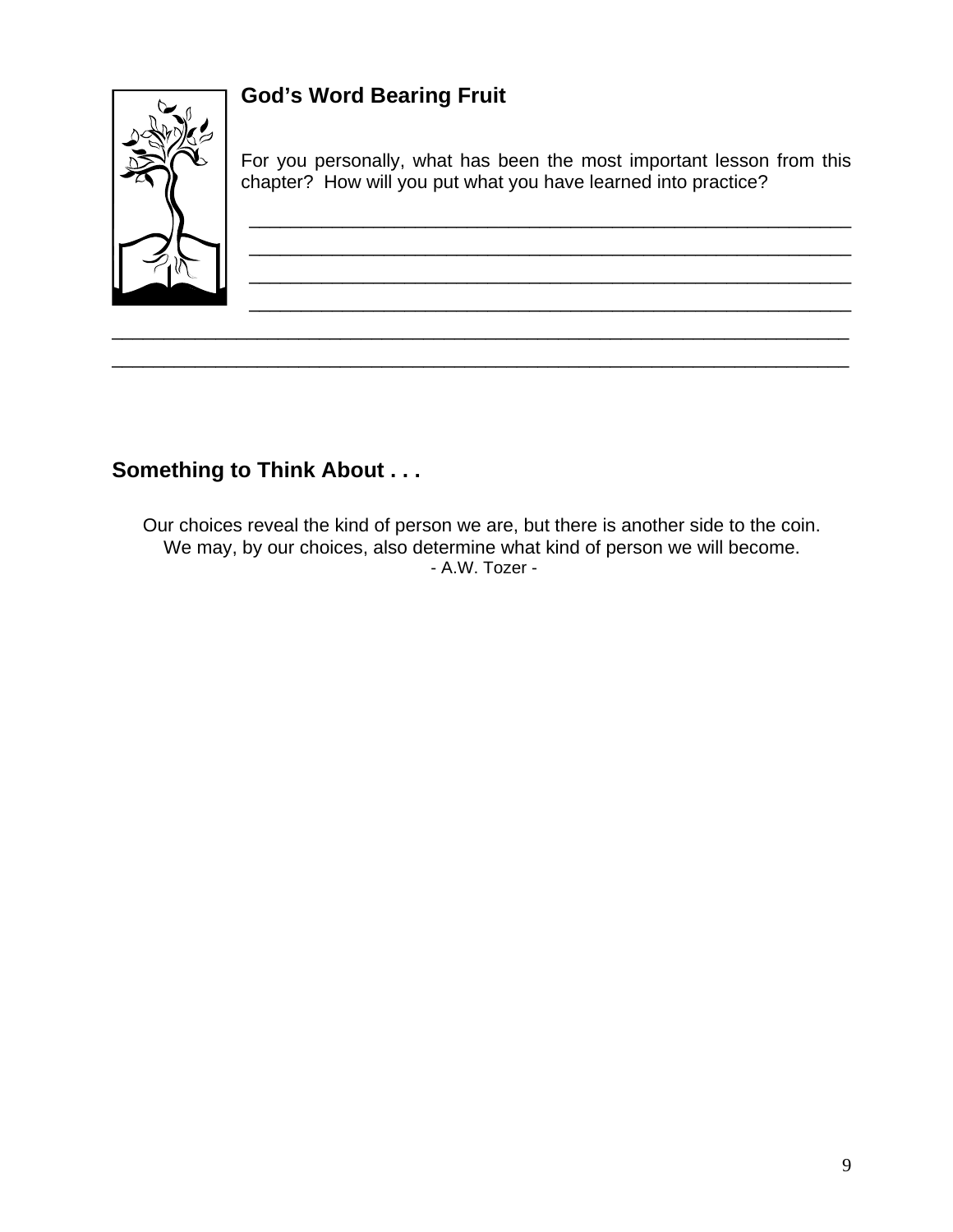## **God's Word Bearing Fruit**



For you personally, what has been the most important lesson from this chapter? How will you put what you have learned into practice?

\_\_\_\_\_\_\_\_\_\_\_\_\_\_\_\_\_\_\_\_\_\_\_\_\_\_\_\_\_\_\_\_\_\_\_\_\_\_\_\_\_\_\_\_\_\_\_\_\_\_\_\_\_\_\_\_\_\_

\_\_\_\_\_\_\_\_\_\_\_\_\_\_\_\_\_\_\_\_\_\_\_\_\_\_\_\_\_\_\_\_\_\_\_\_\_\_\_\_\_\_\_\_\_\_\_\_\_\_\_\_\_\_\_\_\_\_

## **Something to Think About . . .**

Our choices reveal the kind of person we are, but there is another side to the coin. We may, by our choices, also determine what kind of person we will become. - A.W. Tozer -

\_\_\_\_\_\_\_\_\_\_\_\_\_\_\_\_\_\_\_\_\_\_\_\_\_\_\_\_\_\_\_\_\_\_\_\_\_\_\_\_\_\_\_\_\_\_\_\_\_\_\_\_\_\_\_\_\_\_\_\_\_\_\_\_\_\_\_\_\_\_\_ \_\_\_\_\_\_\_\_\_\_\_\_\_\_\_\_\_\_\_\_\_\_\_\_\_\_\_\_\_\_\_\_\_\_\_\_\_\_\_\_\_\_\_\_\_\_\_\_\_\_\_\_\_\_\_\_\_\_\_\_\_\_\_\_\_\_\_\_\_\_\_